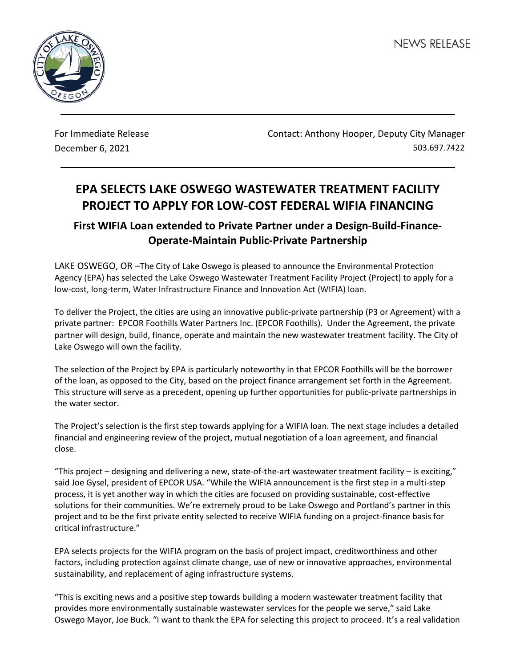

For Immediate Release Contact: Anthony Hooper, Deputy City Manager December 6, 2021 503.697.7422

# **EPA SELECTS LAKE OSWEGO WASTEWATER TREATMENT FACILITY PROJECT TO APPLY FOR LOW-COST FEDERAL WIFIA FINANCING**

# **First WIFIA Loan extended to Private Partner under a Design-Build-Finance-Operate-Maintain Public-Private Partnership**

LAKE OSWEGO, OR –The City of Lake Oswego is pleased to announce the Environmental Protection Agency (EPA) has selected the Lake Oswego Wastewater Treatment Facility Project (Project) to apply for a low-cost, long-term, Water Infrastructure Finance and Innovation Act (WIFIA) loan.

To deliver the Project, the cities are using an innovative public-private partnership (P3 or Agreement) with a private partner: EPCOR Foothills Water Partners Inc. (EPCOR Foothills). Under the Agreement, the private partner will design, build, finance, operate and maintain the new wastewater treatment facility. The City of Lake Oswego will own the facility.

The selection of the Project by EPA is particularly noteworthy in that EPCOR Foothills will be the borrower of the loan, as opposed to the City, based on the project finance arrangement set forth in the Agreement. This structure will serve as a precedent, opening up further opportunities for public-private partnerships in the water sector.

The Project's selection is the first step towards applying for a WIFIA loan. The next stage includes a detailed financial and engineering review of the project, mutual negotiation of a loan agreement, and financial close.

"This project – designing and delivering a new, state-of-the-art wastewater treatment facility – is exciting," said Joe Gysel, president of EPCOR USA. "While the WIFIA announcement is the first step in a multi-step process, it is yet another way in which the cities are focused on providing sustainable, cost-effective solutions for their communities. We're extremely proud to be Lake Oswego and Portland's partner in this project and to be the first private entity selected to receive WIFIA funding on a project-finance basis for critical infrastructure."

EPA selects projects for the WIFIA program on the basis of project impact, creditworthiness and other factors, including protection against climate change, use of new or innovative approaches, environmental sustainability, and replacement of aging infrastructure systems.

"This is exciting news and a positive step towards building a modern wastewater treatment facility that provides more environmentally sustainable wastewater services for the people we serve," said Lake Oswego Mayor, Joe Buck. "I want to thank the EPA for selecting this project to proceed. It's a real validation